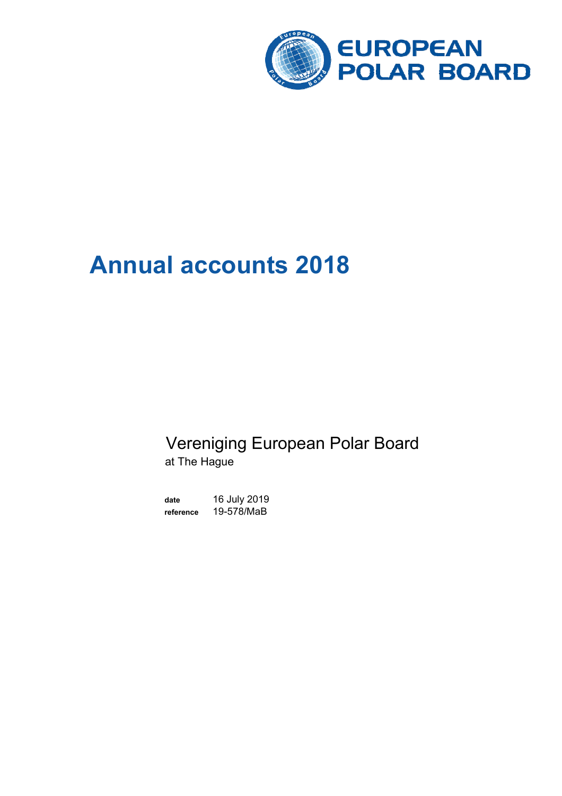

# **Annual accounts 2018**

# Vereniging European Polar Board at The Hague

**date** 16 July 2019 **reference** 19-578/MaB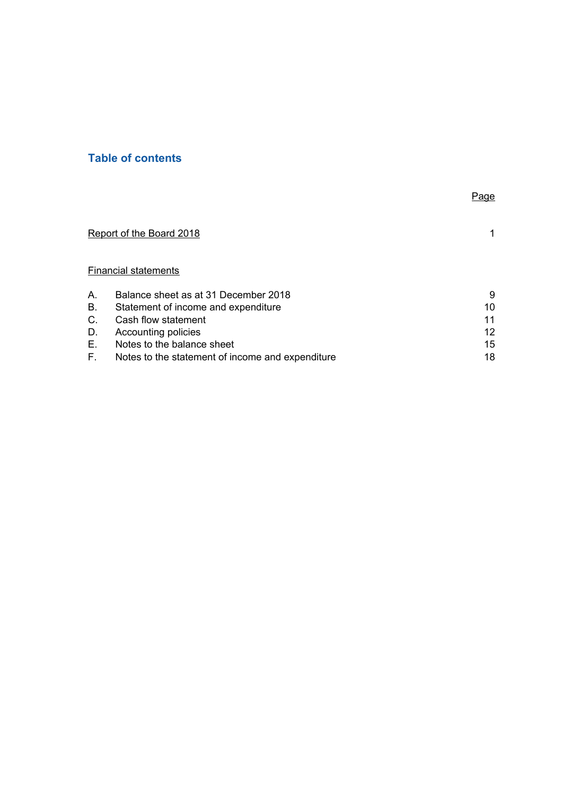### **Table of contents**

|    |                                                  | Page |
|----|--------------------------------------------------|------|
|    | Report of the Board 2018                         | 1.   |
|    | <b>Financial statements</b>                      |      |
| Α. | Balance sheet as at 31 December 2018             | 9    |
| В. | Statement of income and expenditure              | 10   |
| C. | Cash flow statement                              | 11   |
| D. | Accounting policies                              | 12   |
| Е. | Notes to the balance sheet                       | 15   |
| F. | Notes to the statement of income and expenditure | 18   |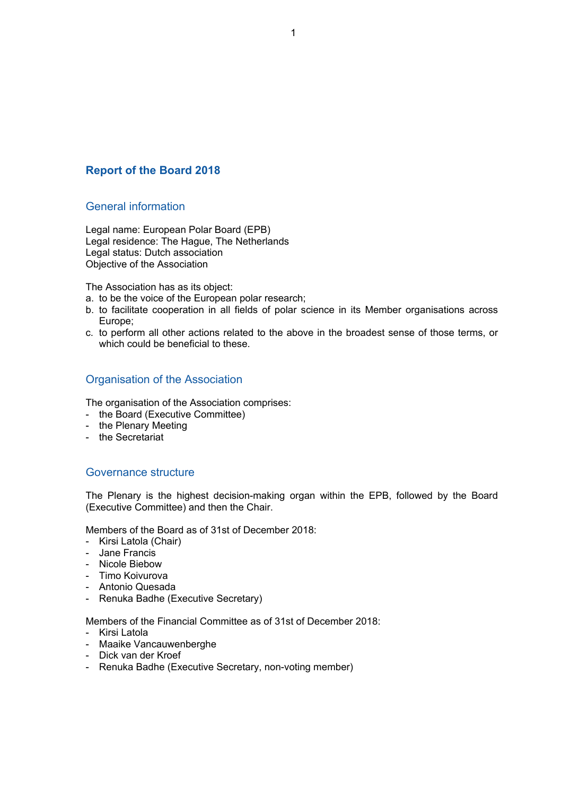### **Report of the Board 2018**

### General information

Legal name: European Polar Board (EPB) Legal residence: The Hague, The Netherlands Legal status: Dutch association Objective of the Association

The Association has as its object:

- a. to be the voice of the European polar research;
- b. to facilitate cooperation in all fields of polar science in its Member organisations across Europe;
- c. to perform all other actions related to the above in the broadest sense of those terms, or which could be beneficial to these.

### Organisation of the Association

The organisation of the Association comprises:

- the Board (Executive Committee)
- the Plenary Meeting
- the Secretariat

### Governance structure

The Plenary is the highest decision-making organ within the EPB, followed by the Board (Executive Committee) and then the Chair.

Members of the Board as of 31st of December 2018:

- Kirsi Latola (Chair)
- Jane Francis
- Nicole Biebow
- Timo Koivurova
- Antonio Quesada
- Renuka Badhe (Executive Secretary)

Members of the Financial Committee as of 31st of December 2018:

- Kirsi Latola
- Maaike Vancauwenberghe
- Dick van der Kroef
- Renuka Badhe (Executive Secretary, non-voting member)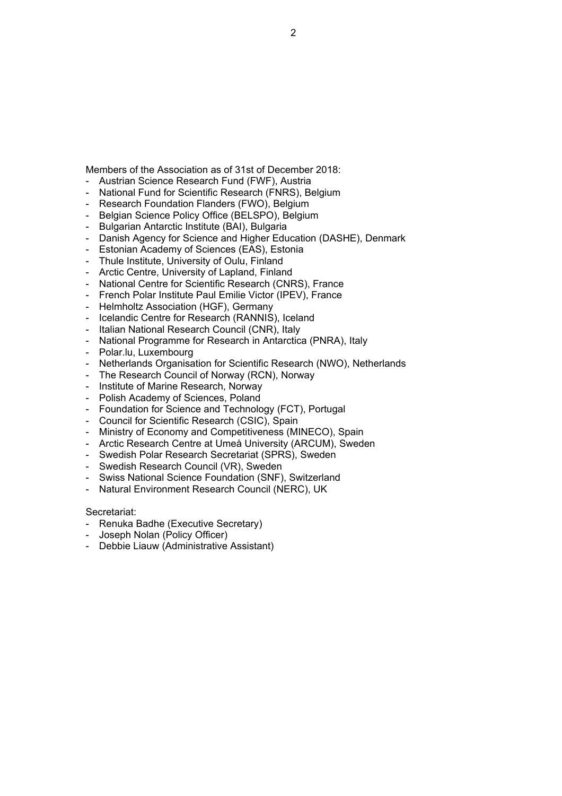### 2

- Members of the Association as of 31st of December 2018:
- Austrian Science Research Fund (FWF), Austria
- National Fund for Scientific Research (FNRS), Belgium
- 
- 
- Research Foundation Flanders (FWO), Belgium
- Belgian Science Policy Office (BELSPO), Belgium
- Bulgarian Antarctic Institute (BAI), Bulgaria
- Danish Agency for Science and Higher Education (DASHE), Denmark
- Estonian Academy of Sciences (EAS), Estonia
- Thule Institute, University of Oulu, Finland
- Arctic Centre, University of Lapland, Finland
- National Centre for Scientific Research (CNRS), France
- French Polar Institute Paul Emilie Victor (IPEV), France
- Helmholtz Association (HGF), Germany
- Icelandic Centre for Research (RANNIS), Iceland
- Italian National Research Council (CNR), Italy
- National Programme for Research in Antarctica (PNRA), Italy
- Polar.lu, Luxembourg
- Netherlands Organisation for Scientific Research (NWO), Netherlands
- The Research Council of Norway (RCN), Norway
- Institute of Marine Research, Norway
- Polish Academy of Sciences, Poland
- Foundation for Science and Technology (FCT), Portugal
- Council for Scientific Research (CSIC), Spain
- Ministry of Economy and Competitiveness (MINECO), Spain
- Arctic Research Centre at Umeå University (ARCUM), Sweden
- Swedish Polar Research Secretariat (SPRS), Sweden
- Swedish Research Council (VR), Sweden
- Swiss National Science Foundation (SNF), Switzerland
- Natural Environment Research Council (NERC), UK

Secretariat:

- Renuka Badhe (Executive Secretary)
- Joseph Nolan (Policy Officer)
- Debbie Liauw (Administrative Assistant)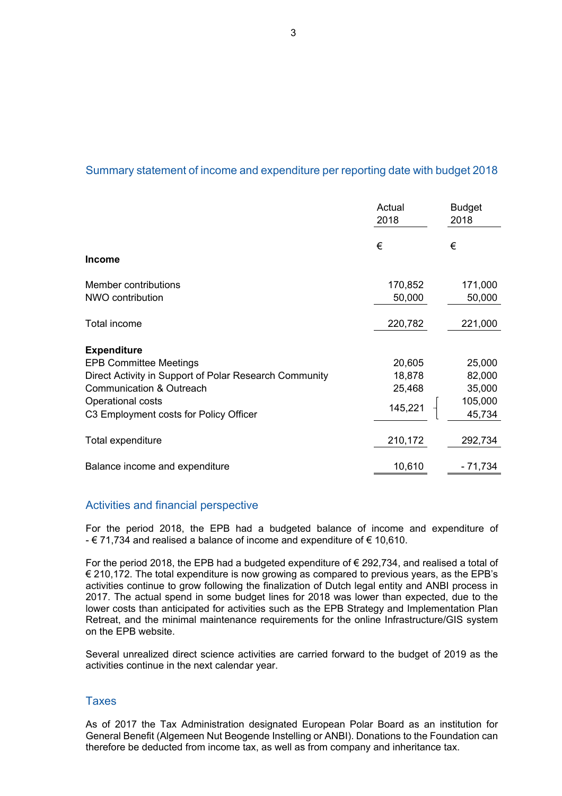### Summary statement of income and expenditure per reporting date with budget 2018

| 2018                                                   |         | <b>Budget</b><br>2018 |
|--------------------------------------------------------|---------|-----------------------|
| €                                                      |         | €                     |
| <b>Income</b>                                          |         |                       |
| Member contributions                                   | 170,852 | 171,000               |
| NWO contribution                                       | 50,000  | 50,000                |
| Total income                                           | 220,782 | 221,000               |
| <b>Expenditure</b>                                     |         |                       |
| <b>EPB Committee Meetings</b>                          | 20,605  | 25,000                |
| Direct Activity in Support of Polar Research Community | 18,878  | 82,000                |
| <b>Communication &amp; Outreach</b>                    | 25,468  | 35,000                |
| Operational costs                                      | 145,221 | 105,000               |
| C3 Employment costs for Policy Officer                 |         | 45,734                |
| Total expenditure                                      | 210,172 | 292,734               |
| Balance income and expenditure                         | 10,610  | $-71,734$             |

### Activities and financial perspective

For the period 2018, the EPB had a budgeted balance of income and expenditure of - € 71,734 and realised a balance of income and expenditure of € 10,610.

For the period 2018, the EPB had a budgeted expenditure of € 292,734, and realised a total of € 210,172. The total expenditure is now growing as compared to previous years, as the EPB's activities continue to grow following the finalization of Dutch legal entity and ANBI process in 2017. The actual spend in some budget lines for 2018 was lower than expected, due to the lower costs than anticipated for activities such as the EPB Strategy and Implementation Plan Retreat, and the minimal maintenance requirements for the online Infrastructure/GIS system on the EPB website.

Several unrealized direct science activities are carried forward to the budget of 2019 as the activities continue in the next calendar year.

### **Taxes**

As of 2017 the Tax Administration designated European Polar Board as an institution for General Benefit (Algemeen Nut Beogende Instelling or ANBI). Donations to the Foundation can therefore be deducted from income tax, as well as from company and inheritance tax.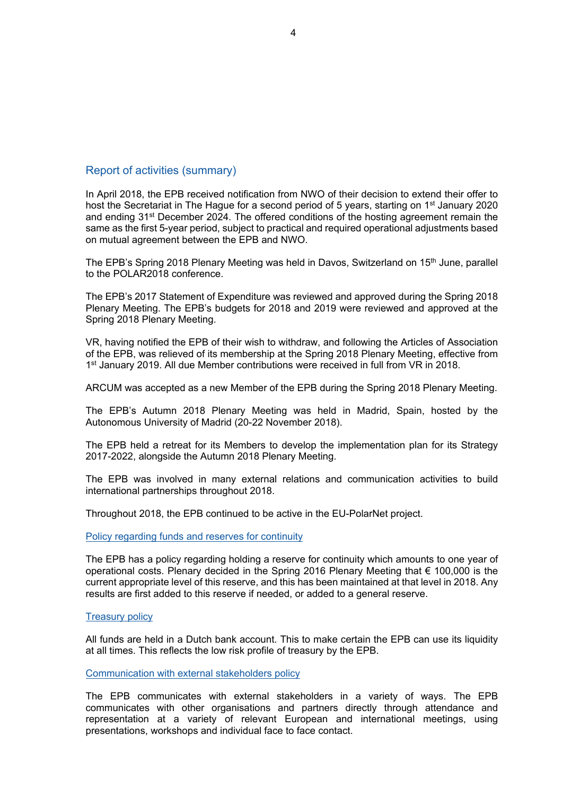### Report of activities (summary)

In April 2018, the EPB received notification from NWO of their decision to extend their offer to host the Secretariat in The Hague for a second period of 5 years, starting on 1<sup>st</sup> January 2020 and ending 31st December 2024. The offered conditions of the hosting agreement remain the same as the first 5-year period, subject to practical and required operational adjustments based on mutual agreement between the EPB and NWO.

The EPB's Spring 2018 Plenary Meeting was held in Davos, Switzerland on 15<sup>th</sup> June, parallel to the POLAR2018 conference.

The EPB's 2017 Statement of Expenditure was reviewed and approved during the Spring 2018 Plenary Meeting. The EPB's budgets for 2018 and 2019 were reviewed and approved at the Spring 2018 Plenary Meeting.

VR, having notified the EPB of their wish to withdraw, and following the Articles of Association of the EPB, was relieved of its membership at the Spring 2018 Plenary Meeting, effective from 1<sup>st</sup> January 2019. All due Member contributions were received in full from VR in 2018.

ARCUM was accepted as a new Member of the EPB during the Spring 2018 Plenary Meeting.

The EPB's Autumn 2018 Plenary Meeting was held in Madrid, Spain, hosted by the Autonomous University of Madrid (20-22 November 2018).

The EPB held a retreat for its Members to develop the implementation plan for its Strategy 2017-2022, alongside the Autumn 2018 Plenary Meeting.

The EPB was involved in many external relations and communication activities to build international partnerships throughout 2018.

Throughout 2018, the EPB continued to be active in the EU-PolarNet project.

Policy regarding funds and reserves for continuity

The EPB has a policy regarding holding a reserve for continuity which amounts to one year of operational costs. Plenary decided in the Spring 2016 Plenary Meeting that € 100,000 is the current appropriate level of this reserve, and this has been maintained at that level in 2018. Any results are first added to this reserve if needed, or added to a general reserve.

### Treasury policy

All funds are held in a Dutch bank account. This to make certain the EPB can use its liquidity at all times. This reflects the low risk profile of treasury by the EPB.

Communication with external stakeholders policy

The EPB communicates with external stakeholders in a variety of ways. The EPB communicates with other organisations and partners directly through attendance and representation at a variety of relevant European and international meetings, using presentations, workshops and individual face to face contact.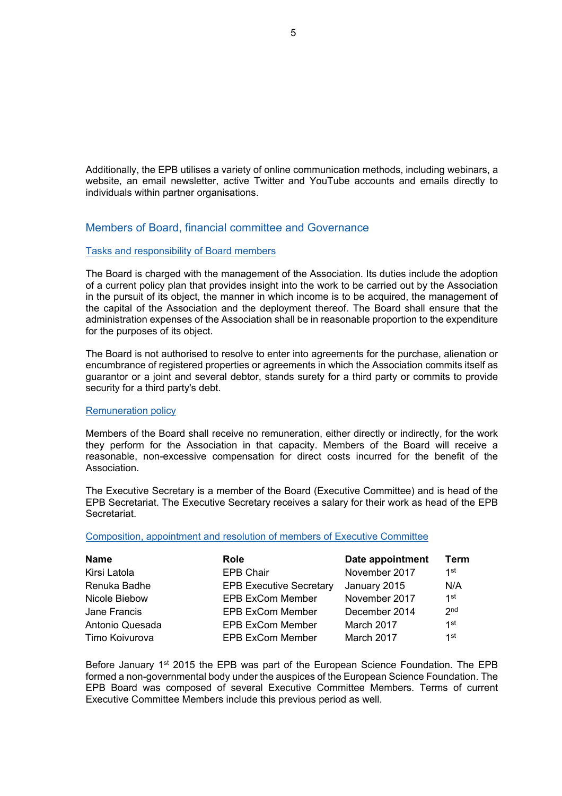Additionally, the EPB utilises a variety of online communication methods, including webinars, a website, an email newsletter, active Twitter and YouTube accounts and emails directly to individuals within partner organisations.

### Members of Board, financial committee and Governance

### Tasks and responsibility of Board members

The Board is charged with the management of the Association. Its duties include the adoption of a current policy plan that provides insight into the work to be carried out by the Association in the pursuit of its object, the manner in which income is to be acquired, the management of the capital of the Association and the deployment thereof. The Board shall ensure that the administration expenses of the Association shall be in reasonable proportion to the expenditure for the purposes of its object.

The Board is not authorised to resolve to enter into agreements for the purchase, alienation or encumbrance of registered properties or agreements in which the Association commits itself as guarantor or a joint and several debtor, stands surety for a third party or commits to provide security for a third party's debt.

### Remuneration policy

Members of the Board shall receive no remuneration, either directly or indirectly, for the work they perform for the Association in that capacity. Members of the Board will receive a reasonable, non-excessive compensation for direct costs incurred for the benefit of the Association.

The Executive Secretary is a member of the Board (Executive Committee) and is head of the EPB Secretariat. The Executive Secretary receives a salary for their work as head of the EPB Secretariat.

### Composition, appointment and resolution of members of Executive Committee

| <b>Name</b>     | <b>Role</b>                    | Date appointment | Term            |
|-----------------|--------------------------------|------------------|-----------------|
| Kirsi Latola    | <b>EPB Chair</b>               | November 2017    | 1st             |
| Renuka Badhe    | <b>EPB Executive Secretary</b> | January 2015     | N/A             |
| Nicole Biebow   | <b>EPB ExCom Member</b>        | November 2017    | 1st             |
| Jane Francis    | <b>EPB ExCom Member</b>        | December 2014    | 2 <sub>nd</sub> |
| Antonio Quesada | <b>EPB ExCom Member</b>        | March 2017       | 1st             |
| Timo Koivurova  | <b>EPB ExCom Member</b>        | March 2017       | 1st             |

Before January 1<sup>st</sup> 2015 the EPB was part of the European Science Foundation. The EPB formed a non-governmental body under the auspices of the European Science Foundation. The EPB Board was composed of several Executive Committee Members. Terms of current Executive Committee Members include this previous period as well.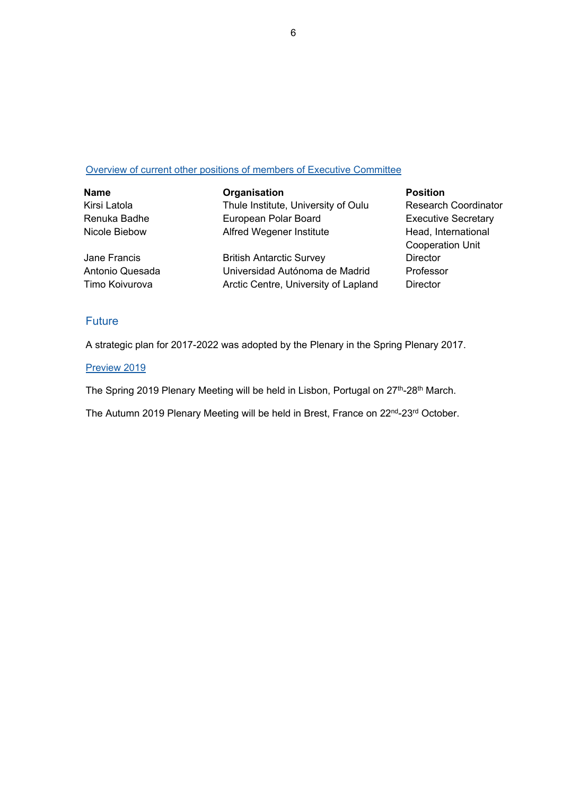### Overview of current other positions of members of Executive Committee

| <b>Name</b>     | Organisation                         | <b>Position</b>             |
|-----------------|--------------------------------------|-----------------------------|
| Kirsi Latola    | Thule Institute, University of Oulu  | <b>Research Coordinator</b> |
| Renuka Badhe    | European Polar Board                 | <b>Executive Secretary</b>  |
| Nicole Biebow   | Alfred Wegener Institute             | Head, International         |
|                 |                                      | <b>Cooperation Unit</b>     |
| Jane Francis    | <b>British Antarctic Survey</b>      | <b>Director</b>             |
| Antonio Quesada | Universidad Autónoma de Madrid       | Professor                   |
| Timo Koivurova  | Arctic Centre, University of Lapland | <b>Director</b>             |

### **Future**

A strategic plan for 2017-2022 was adopted by the Plenary in the Spring Plenary 2017.

### Preview 2019

The Spring 2019 Plenary Meeting will be held in Lisbon, Portugal on 27<sup>th</sup>-28<sup>th</sup> March.

The Autumn 2019 Plenary Meeting will be held in Brest, France on 22<sup>nd</sup>-23<sup>rd</sup> October.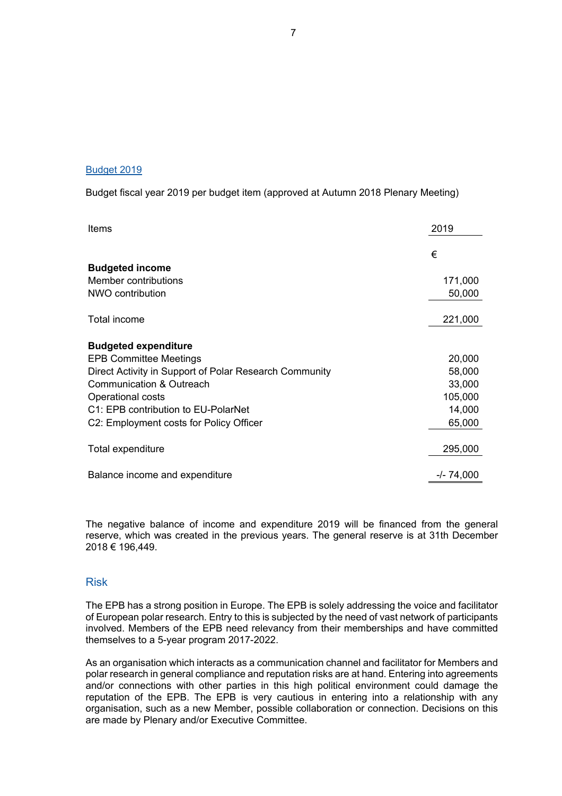### Budget 2019

Budget fiscal year 2019 per budget item (approved at Autumn 2018 Plenary Meeting)

| Items                                                  | 2019         |
|--------------------------------------------------------|--------------|
|                                                        | €            |
| <b>Budgeted income</b>                                 |              |
| Member contributions                                   | 171,000      |
| NWO contribution                                       | 50,000       |
| Total income                                           | 221,000      |
| <b>Budgeted expenditure</b>                            |              |
| <b>EPB Committee Meetings</b>                          | 20,000       |
| Direct Activity in Support of Polar Research Community | 58,000       |
| <b>Communication &amp; Outreach</b>                    | 33,000       |
| Operational costs                                      | 105,000      |
| C1: EPB contribution to EU-PolarNet                    | 14,000       |
| C2: Employment costs for Policy Officer                | 65,000       |
| Total expenditure                                      | 295,000      |
| Balance income and expenditure                         | $-/- 74,000$ |

The negative balance of income and expenditure 2019 will be financed from the general reserve, which was created in the previous years. The general reserve is at 31th December 2018 € 196,449.

### Risk

The EPB has a strong position in Europe. The EPB is solely addressing the voice and facilitator of European polar research. Entry to this is subjected by the need of vast network of participants involved. Members of the EPB need relevancy from their memberships and have committed themselves to a 5-year program 2017-2022.

As an organisation which interacts as a communication channel and facilitator for Members and polar research in general compliance and reputation risks are at hand. Entering into agreements and/or connections with other parties in this high political environment could damage the reputation of the EPB. The EPB is very cautious in entering into a relationship with any organisation, such as a new Member, possible collaboration or connection. Decisions on this are made by Plenary and/or Executive Committee.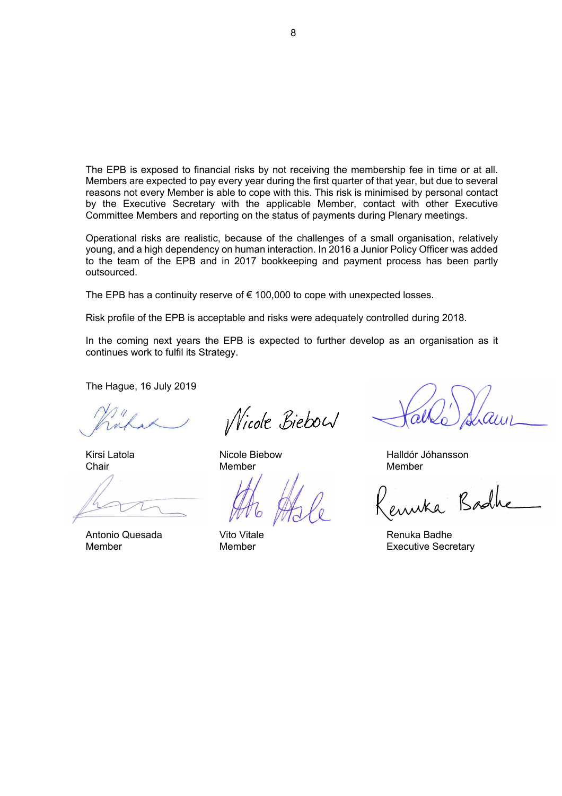The EPB is exposed to financial risks by not receiving the membership fee in time or at all. Members are expected to pay every year during the first quarter of that year, but due to several reasons not every Member is able to cope with this. This risk is minimised by personal contact by the Executive Secretary with the applicable Member, contact with other Executive Committee Members and reporting on the status of payments during Plenary meetings.

Operational risks are realistic, because of the challenges of a small organisation, relatively young, and a high dependency on human interaction. In 2016 a Junior Policy Officer was added to the team of the EPB and in 2017 bookkeeping and payment process has been partly outsourced.

The EPB has a continuity reserve of  $\epsilon$  100,000 to cope with unexpected losses.

Risk profile of the EPB is acceptable and risks were adequately controlled during 2018.

In the coming next years the EPB is expected to further develop as an organisation as it continues work to fulfil its Strategy.

The Hague, 16 July 2019

Antonio Quesada Vito Vitale Renuka Badhe

*Nicole Biebou* 

Chair **Member** Member Member Member

Kirsi Latola **Nicole Biebow** Micole Biebow Halldór Jóhansson

Badh

Member Member **Member Member** Executive Secretary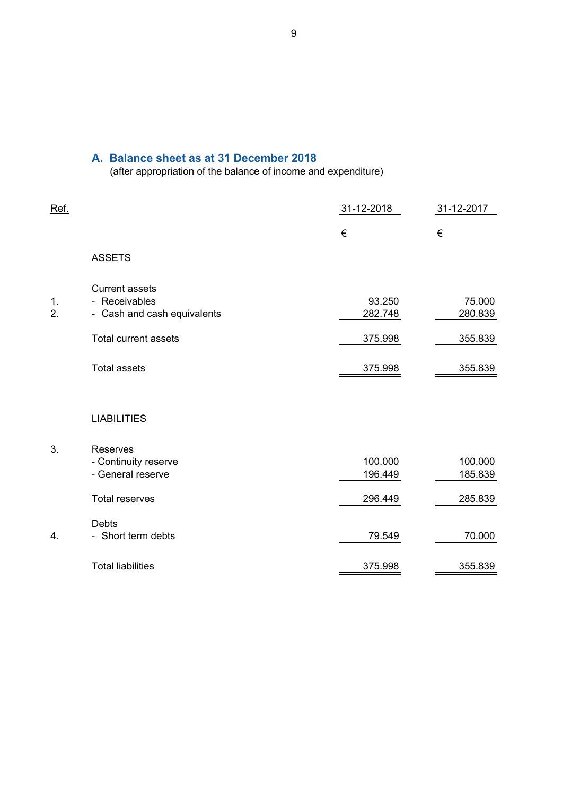### **A. Balance sheet as at 31 December 2018**

(after appropriation of the balance of income and expenditure)

| Ref.     |                                                                                               | 31-12-2018                   | 31-12-2017                   |
|----------|-----------------------------------------------------------------------------------------------|------------------------------|------------------------------|
|          |                                                                                               | €                            | €                            |
|          | <b>ASSETS</b>                                                                                 |                              |                              |
| 1.<br>2. | <b>Current assets</b><br>- Receivables<br>- Cash and cash equivalents<br>Total current assets | 93.250<br>282.748<br>375.998 | 75.000<br>280.839<br>355.839 |
|          | <b>Total assets</b>                                                                           | 375.998                      | 355.839                      |
|          | <b>LIABILITIES</b>                                                                            |                              |                              |
| 3.       | Reserves<br>- Continuity reserve<br>- General reserve                                         | 100.000<br>196.449           | 100.000<br>185.839           |
|          | <b>Total reserves</b>                                                                         | 296.449                      | 285.839                      |
| 4.       | Debts<br>- Short term debts                                                                   | 79.549                       | 70.000                       |
|          | <b>Total liabilities</b>                                                                      | 375.998                      | 355.839                      |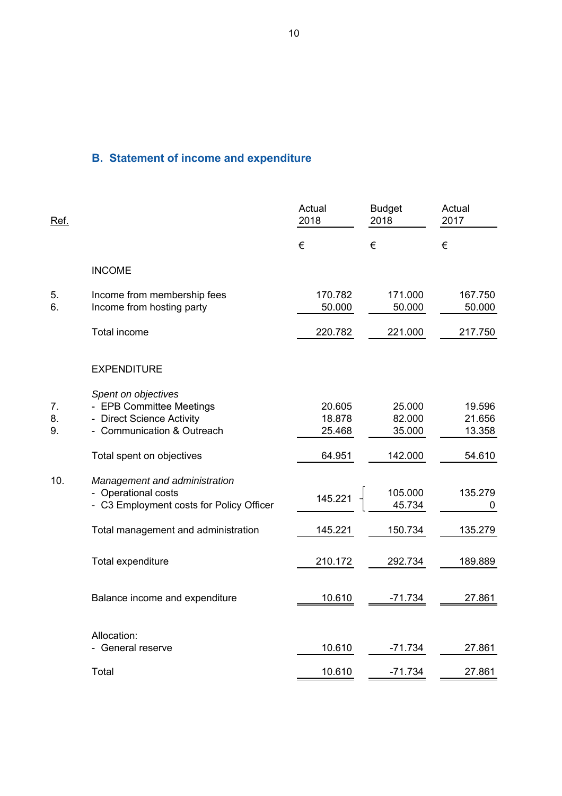# **B. Statement of income and expenditure**

| <u>Ref.</u>    |                                                                                                            | Actual<br>2018             | <b>Budget</b><br>2018      | Actual<br>2017             |
|----------------|------------------------------------------------------------------------------------------------------------|----------------------------|----------------------------|----------------------------|
|                |                                                                                                            | €                          | €                          | €                          |
|                | <b>INCOME</b>                                                                                              |                            |                            |                            |
| 5.<br>6.       | Income from membership fees<br>Income from hosting party                                                   | 170.782<br>50.000          | 171.000<br>50.000          | 167.750<br>50.000          |
|                | Total income                                                                                               | 220.782                    | 221.000                    | 217.750                    |
|                | <b>EXPENDITURE</b>                                                                                         |                            |                            |                            |
| 7.<br>8.<br>9. | Spent on objectives<br>- EPB Committee Meetings<br>- Direct Science Activity<br>- Communication & Outreach | 20.605<br>18.878<br>25.468 | 25.000<br>82.000<br>35.000 | 19.596<br>21.656<br>13.358 |
|                | Total spent on objectives                                                                                  | 64.951                     | 142.000                    | 54.610                     |
| 10.            | Management and administration<br>- Operational costs<br>- C3 Employment costs for Policy Officer           | 145.221                    | 105.000<br>45.734          | 135.279<br>0               |
|                | Total management and administration                                                                        | 145.221                    | 150.734                    | 135.279                    |
|                | Total expenditure                                                                                          | 210.172                    | 292.734                    | 189.889                    |
|                | Balance income and expenditure                                                                             | 10.610                     | $-71.734$                  | 27.861                     |
|                | Allocation:<br>- General reserve                                                                           | 10.610                     | $-71.734$                  | 27.861                     |
|                | Total                                                                                                      | 10.610                     | $-71.734$                  | 27.861                     |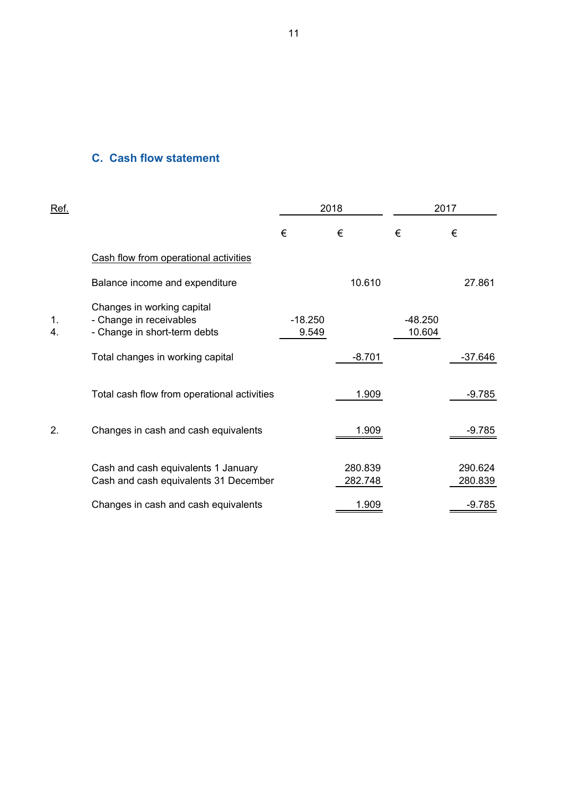### **C. Cash flow statement**

| Ref.     |                                                                                       | 2018               |                    | 2017                |                    |
|----------|---------------------------------------------------------------------------------------|--------------------|--------------------|---------------------|--------------------|
|          |                                                                                       | €                  | €                  | €                   | €                  |
|          | Cash flow from operational activities                                                 |                    |                    |                     |                    |
|          | Balance income and expenditure                                                        |                    | 10.610             |                     | 27.861             |
| 1.<br>4. | Changes in working capital<br>- Change in receivables<br>- Change in short-term debts | $-18.250$<br>9.549 |                    | $-48.250$<br>10.604 |                    |
|          | Total changes in working capital                                                      |                    | $-8.701$           |                     | $-37.646$          |
|          | Total cash flow from operational activities                                           |                    | 1.909              |                     | $-9.785$           |
| 2.       | Changes in cash and cash equivalents                                                  |                    | 1.909              |                     | $-9.785$           |
|          | Cash and cash equivalents 1 January<br>Cash and cash equivalents 31 December          |                    | 280.839<br>282.748 |                     | 290.624<br>280.839 |
|          | Changes in cash and cash equivalents                                                  |                    | 1.909              |                     | $-9.785$           |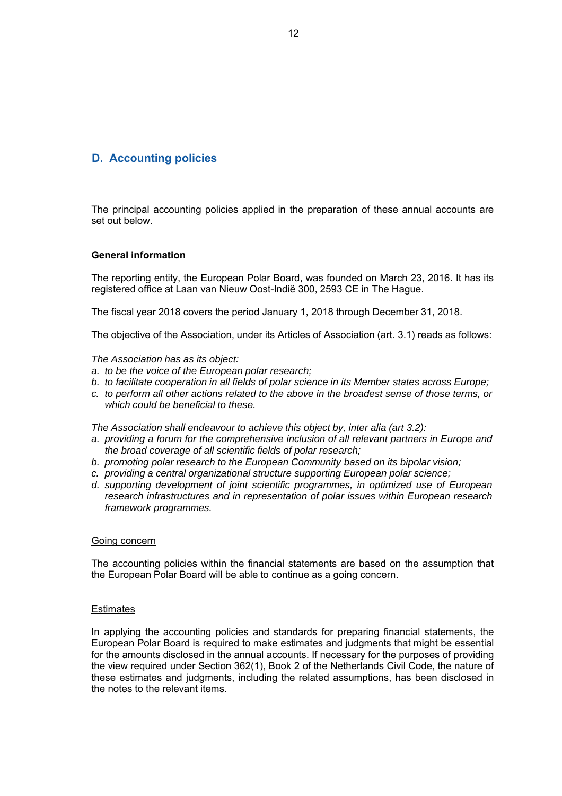### **D. Accounting policies**

The principal accounting policies applied in the preparation of these annual accounts are set out below.

### **General information**

The reporting entity, the European Polar Board, was founded on March 23, 2016. It has its registered office at Laan van Nieuw Oost-Indië 300, 2593 CE in The Hague.

The fiscal year 2018 covers the period January 1, 2018 through December 31, 2018.

The objective of the Association, under its Articles of Association (art. 3.1) reads as follows:

#### *The Association has as its object:*

- *a. to be the voice of the European polar research;*
- *b. to facilitate cooperation in all fields of polar science in its Member states across Europe;*
- *c. to perform all other actions related to the above in the broadest sense of those terms, or which could be beneficial to these.*

The Association shall endeavour to achieve this object by, inter alia (art 3.2):

- a. providing a forum for the comprehensive inclusion of all relevant partners in Europe and *the broad coverage of all scientific fields of polar research;*
- *b. promoting polar research to the European Community based on its bipolar vision;*
- *c. providing a central organizational structure supporting European polar science;*
- *d. supporting development of joint scientific programmes, in optimized use of European research infrastructures and in representation of polar issues within European research framework programmes.*

#### Going concern

The accounting policies within the financial statements are based on the assumption that the European Polar Board will be able to continue as a going concern.

### **Estimates**

In applying the accounting policies and standards for preparing financial statements, the European Polar Board is required to make estimates and judgments that might be essential for the amounts disclosed in the annual accounts. If necessary for the purposes of providing the view required under Section 362(1), Book 2 of the Netherlands Civil Code, the nature of these estimates and judgments, including the related assumptions, has been disclosed in the notes to the relevant items.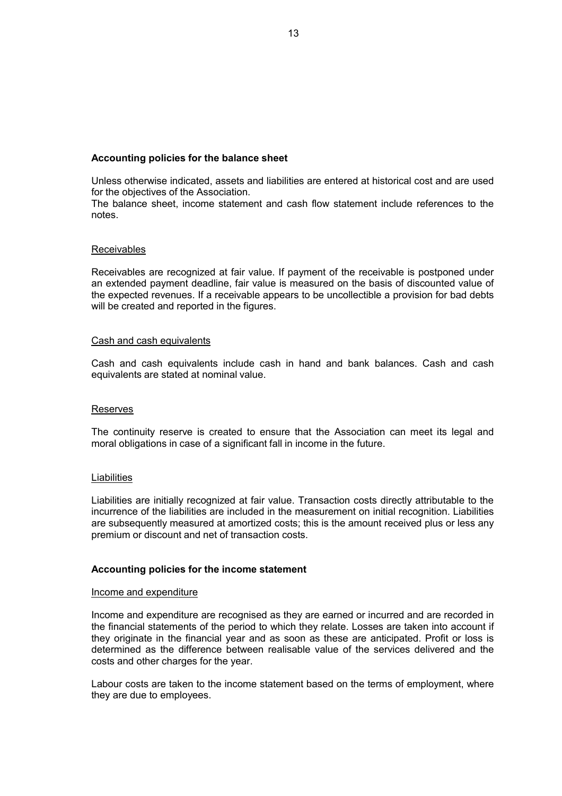### **Accounting policies for the balance sheet**

Unless otherwise indicated, assets and liabilities are entered at historical cost and are used for the objectives of the Association.

The balance sheet, income statement and cash flow statement include references to the notes.

### **Receivables**

Receivables are recognized at fair value. If payment of the receivable is postponed under an extended payment deadline, fair value is measured on the basis of discounted value of the expected revenues. If a receivable appears to be uncollectible a provision for bad debts will be created and reported in the figures.

### Cash and cash equivalents

Cash and cash equivalents include cash in hand and bank balances. Cash and cash equivalents are stated at nominal value.

### Reserves

The continuity reserve is created to ensure that the Association can meet its legal and moral obligations in case of a significant fall in income in the future.

#### **Liabilities**

Liabilities are initially recognized at fair value. Transaction costs directly attributable to the incurrence of the liabilities are included in the measurement on initial recognition. Liabilities are subsequently measured at amortized costs; this is the amount received plus or less any premium or discount and net of transaction costs.

### **Accounting policies for the income statement**

#### Income and expenditure

Income and expenditure are recognised as they are earned or incurred and are recorded in the financial statements of the period to which they relate. Losses are taken into account if they originate in the financial year and as soon as these are anticipated. Profit or loss is determined as the difference between realisable value of the services delivered and the costs and other charges for the year.

Labour costs are taken to the income statement based on the terms of employment, where they are due to employees.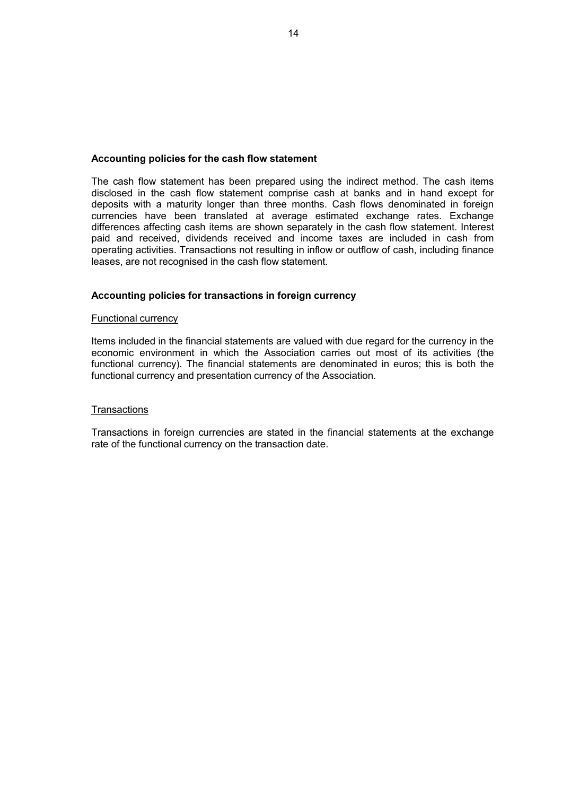### **Accounting policies for the cash flow statement**

The cash flow statement has been prepared using the indirect method. The cash items disclosed in the cash flow statement comprise cash at banks and in hand except for deposits with a maturity longer than three months. Cash flows denominated in foreign currencies have been translated at average estimated exchange rates. Exchange differences affecting cash items are shown separately in the cash flow statement. Interest paid and received, dividends received and income taxes are included in cash from operating activities. Transactions not resulting in inflow or outflow of cash, including finance leases, are not recognised in the cash flow statement.

### **Accounting policies for transactions in foreign currency**

### Functional currency

Items included in the financial statements are valued with due regard for the currency in the economic environment in which the Association carries out most of its activities (the functional currency). The financial statements are denominated in euros; this is both the functional currency and presentation currency of the Association.

### **Transactions**

Transactions in foreign currencies are stated in the financial statements at the exchange rate of the functional currency on the transaction date.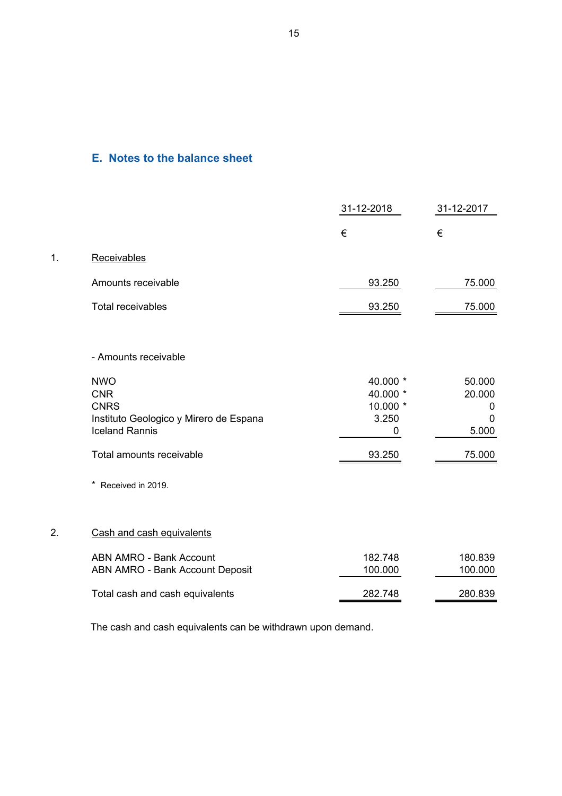### **E. Notes to the balance sheet**

 $1.$ 

|    |                                        | 31-12-2018           | 31-12-2017  |
|----|----------------------------------------|----------------------|-------------|
|    |                                        | €                    | €           |
| 1. | Receivables                            |                      |             |
|    | Amounts receivable                     | 93.250               | 75.000      |
|    | <b>Total receivables</b>               | 93.250               | 75.000      |
|    | - Amounts receivable                   |                      |             |
|    | <b>NWO</b>                             | 40.000 *             | 50.000      |
|    | <b>CNR</b><br><b>CNRS</b>              | 40.000 *<br>10.000 * | 20.000<br>0 |
|    | Instituto Geologico y Mirero de Espana | 3.250                | 0           |
|    | <b>Iceland Rannis</b>                  | 0                    | 5.000       |
|    | Total amounts receivable               | 93.250               | 75.000      |
|    | Received in 2019.                      |                      |             |
| 2. | Cash and cash equivalents              |                      |             |
|    | <b>ABN AMRO - Bank Account</b>         | 182.748              | 180.839     |
|    | <b>ABN AMRO - Bank Account Deposit</b> | 100.000              | 100.000     |
|    | Total cash and cash equivalents        | 282.748              | 280.839     |
|    |                                        |                      |             |

The cash and cash equivalents can be withdrawn upon demand.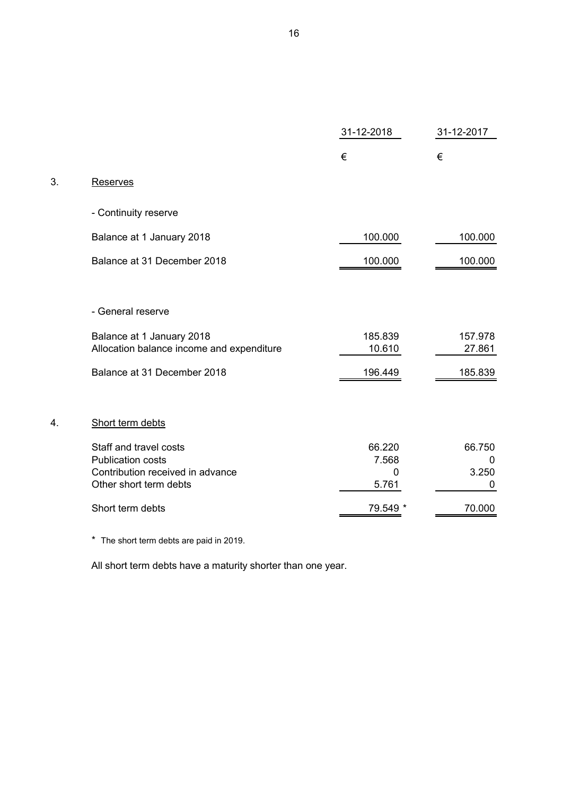|    |                                                                                        | 31-12-2018           | 31-12-2017                  |
|----|----------------------------------------------------------------------------------------|----------------------|-----------------------------|
|    |                                                                                        | €                    | €                           |
| 3. | Reserves                                                                               |                      |                             |
|    | - Continuity reserve                                                                   |                      |                             |
|    | Balance at 1 January 2018                                                              | 100.000              | 100.000                     |
|    | Balance at 31 December 2018                                                            | 100.000              | 100.000                     |
|    | - General reserve                                                                      |                      |                             |
|    | Balance at 1 January 2018<br>Allocation balance income and expenditure                 | 185.839<br>10.610    | 157.978<br>27.861           |
|    | Balance at 31 December 2018                                                            | 196.449              | 185.839                     |
| 4. | Short term debts                                                                       |                      |                             |
|    | Staff and travel costs<br><b>Publication costs</b><br>Contribution received in advance | 66.220<br>7.568<br>0 | 66.750<br>$\Omega$<br>3.250 |
|    | Other short term debts                                                                 | 5.761                | $\mathbf 0$                 |
|    | Short term debts                                                                       | 79.549               | 70.000                      |
|    |                                                                                        |                      |                             |

\* The short term debts are paid in 2019.

 $3.$ 

All short term debts have a maturity shorter than one year.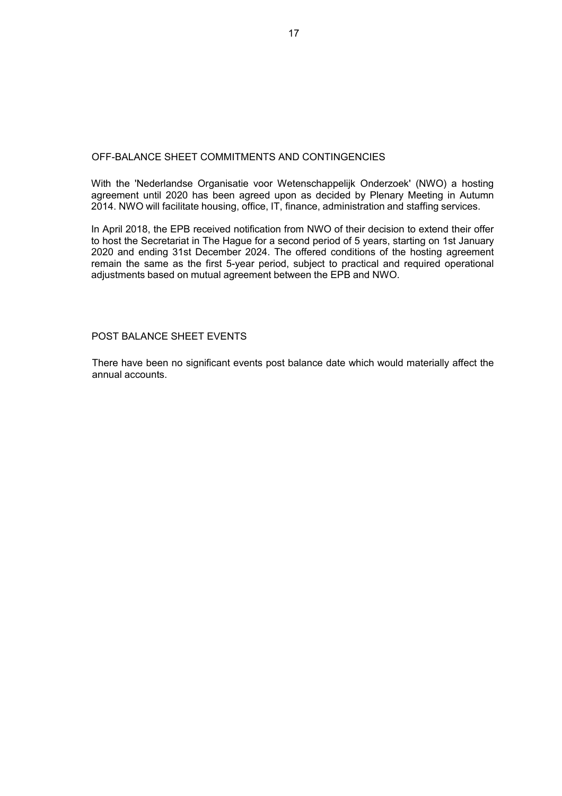### OFF-BALANCE SHEET COMMITMENTS AND CONTINGENCIES

With the 'Nederlandse Organisatie voor Wetenschappelijk Onderzoek' (NWO) a hosting agreement until 2020 has been agreed upon as decided by Plenary Meeting in Autumn 2014. NWO will facilitate housing, office, IT, finance, administration and staffing services.

In April 2018, the EPB received notification from NWO of their decision to extend their offer to host the Secretariat in The Hague for a second period of 5 years, starting on 1st January 2020 and ending 31st December 2024. The offered conditions of the hosting agreement remain the same as the first 5-year period, subject to practical and required operational adjustments based on mutual agreement between the EPB and NWO.

### POST BALANCE SHEET EVENTS

There have been no significant events post balance date which would materially affect the annual accounts.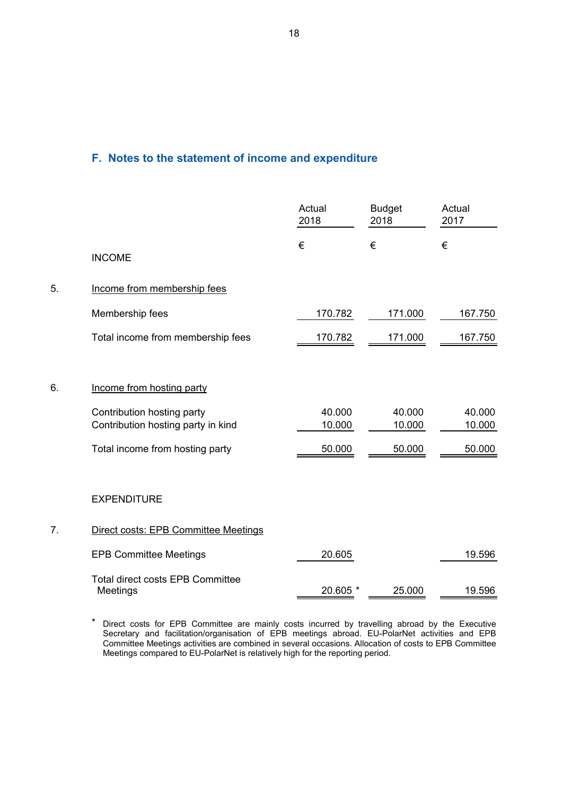## **F. Notes to the statement of income and expenditure**

|    |                                                     | Actual<br>2018 | <b>Budget</b><br>2018 | Actual<br>2017 |
|----|-----------------------------------------------------|----------------|-----------------------|----------------|
|    | <b>INCOME</b>                                       | €              | €                     | €              |
| 5. | Income from membership fees                         |                |                       |                |
|    | Membership fees                                     | 170.782        | 171.000               | 167.750        |
|    | Total income from membership fees                   | 170.782        | 171.000               | 167.750        |
|    |                                                     |                |                       |                |
| 6. | Income from hosting party                           |                |                       |                |
|    | Contribution hosting party                          | 40.000         | 40.000                | 40.000         |
|    | Contribution hosting party in kind                  | 10.000         | 10.000                | 10.000         |
|    | Total income from hosting party                     | 50.000         | 50.000                | 50.000         |
|    |                                                     |                |                       |                |
|    | <b>EXPENDITURE</b>                                  |                |                       |                |
| 7. | Direct costs: EPB Committee Meetings                |                |                       |                |
|    | <b>EPB Committee Meetings</b>                       | 20.605         |                       | 19.596         |
|    | <b>Total direct costs EPB Committee</b><br>Meetings | 20.605 *       | 25.000                | 19.596         |
|    |                                                     |                |                       |                |

\* Direct costs for EPB Committee are mainly costs incurred by travelling abroad by the Executive Secretary and facilitation/organisation of EPB meetings abroad. EU-PolarNet activities and EPB Committee Meetings activities are combined in several occasions. Allocation of costs to EPB Committee Meetings compared to EU-PolarNet is relatively high for the reporting period.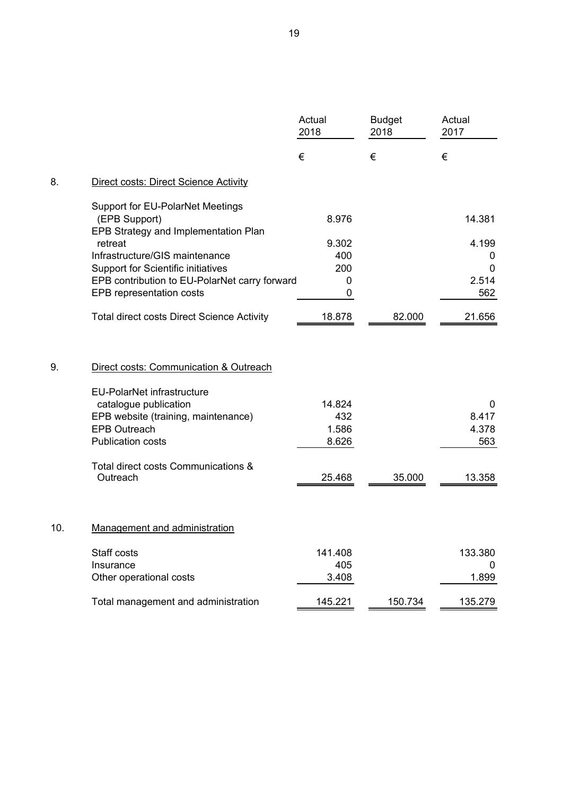| €<br>€<br>€<br>8.<br>Direct costs: Direct Science Activity<br>Support for EU-PolarNet Meetings<br>(EPB Support)<br>8.976<br>14.381<br>EPB Strategy and Implementation Plan<br>retreat<br>9.302<br>4.199<br>Infrastructure/GIS maintenance<br>400<br>0<br>200<br>Support for Scientific initiatives<br>0<br>EPB contribution to EU-PolarNet carry forward<br>2.514<br>0<br>562<br>EPB representation costs<br>0<br><b>Total direct costs Direct Science Activity</b><br>18.878<br>82.000<br>21.656<br>9.<br>Direct costs: Communication & Outreach<br><b>EU-PolarNet infrastructure</b><br>14.824<br>catalogue publication<br>0<br>EPB website (training, maintenance)<br>432<br>8.417<br>4.378<br><b>EPB Outreach</b><br>1.586<br><b>Publication costs</b><br>8.626<br>563<br>Total direct costs Communications &<br>Outreach<br>13.358<br>25.468<br>35.000<br>10.<br><b>Management and administration</b><br>Staff costs<br>141.408<br>133.380<br>Insurance<br>405<br>$\Omega$<br>Other operational costs<br>3.408<br>1.899<br>Total management and administration<br>145.221<br>150.734<br>135.279 |  | Actual<br>2018 | <b>Budget</b><br>2018 | Actual<br>2017 |
|------------------------------------------------------------------------------------------------------------------------------------------------------------------------------------------------------------------------------------------------------------------------------------------------------------------------------------------------------------------------------------------------------------------------------------------------------------------------------------------------------------------------------------------------------------------------------------------------------------------------------------------------------------------------------------------------------------------------------------------------------------------------------------------------------------------------------------------------------------------------------------------------------------------------------------------------------------------------------------------------------------------------------------------------------------------------------------------------------|--|----------------|-----------------------|----------------|
|                                                                                                                                                                                                                                                                                                                                                                                                                                                                                                                                                                                                                                                                                                                                                                                                                                                                                                                                                                                                                                                                                                      |  |                |                       |                |
|                                                                                                                                                                                                                                                                                                                                                                                                                                                                                                                                                                                                                                                                                                                                                                                                                                                                                                                                                                                                                                                                                                      |  |                |                       |                |
|                                                                                                                                                                                                                                                                                                                                                                                                                                                                                                                                                                                                                                                                                                                                                                                                                                                                                                                                                                                                                                                                                                      |  |                |                       |                |
|                                                                                                                                                                                                                                                                                                                                                                                                                                                                                                                                                                                                                                                                                                                                                                                                                                                                                                                                                                                                                                                                                                      |  |                |                       |                |
|                                                                                                                                                                                                                                                                                                                                                                                                                                                                                                                                                                                                                                                                                                                                                                                                                                                                                                                                                                                                                                                                                                      |  |                |                       |                |
|                                                                                                                                                                                                                                                                                                                                                                                                                                                                                                                                                                                                                                                                                                                                                                                                                                                                                                                                                                                                                                                                                                      |  |                |                       |                |
|                                                                                                                                                                                                                                                                                                                                                                                                                                                                                                                                                                                                                                                                                                                                                                                                                                                                                                                                                                                                                                                                                                      |  |                |                       |                |
|                                                                                                                                                                                                                                                                                                                                                                                                                                                                                                                                                                                                                                                                                                                                                                                                                                                                                                                                                                                                                                                                                                      |  |                |                       |                |
|                                                                                                                                                                                                                                                                                                                                                                                                                                                                                                                                                                                                                                                                                                                                                                                                                                                                                                                                                                                                                                                                                                      |  |                |                       |                |
|                                                                                                                                                                                                                                                                                                                                                                                                                                                                                                                                                                                                                                                                                                                                                                                                                                                                                                                                                                                                                                                                                                      |  |                |                       |                |
|                                                                                                                                                                                                                                                                                                                                                                                                                                                                                                                                                                                                                                                                                                                                                                                                                                                                                                                                                                                                                                                                                                      |  |                |                       |                |
|                                                                                                                                                                                                                                                                                                                                                                                                                                                                                                                                                                                                                                                                                                                                                                                                                                                                                                                                                                                                                                                                                                      |  |                |                       |                |
|                                                                                                                                                                                                                                                                                                                                                                                                                                                                                                                                                                                                                                                                                                                                                                                                                                                                                                                                                                                                                                                                                                      |  |                |                       |                |
|                                                                                                                                                                                                                                                                                                                                                                                                                                                                                                                                                                                                                                                                                                                                                                                                                                                                                                                                                                                                                                                                                                      |  |                |                       |                |
|                                                                                                                                                                                                                                                                                                                                                                                                                                                                                                                                                                                                                                                                                                                                                                                                                                                                                                                                                                                                                                                                                                      |  |                |                       |                |
|                                                                                                                                                                                                                                                                                                                                                                                                                                                                                                                                                                                                                                                                                                                                                                                                                                                                                                                                                                                                                                                                                                      |  |                |                       |                |
|                                                                                                                                                                                                                                                                                                                                                                                                                                                                                                                                                                                                                                                                                                                                                                                                                                                                                                                                                                                                                                                                                                      |  |                |                       |                |
|                                                                                                                                                                                                                                                                                                                                                                                                                                                                                                                                                                                                                                                                                                                                                                                                                                                                                                                                                                                                                                                                                                      |  |                |                       |                |
|                                                                                                                                                                                                                                                                                                                                                                                                                                                                                                                                                                                                                                                                                                                                                                                                                                                                                                                                                                                                                                                                                                      |  |                |                       |                |